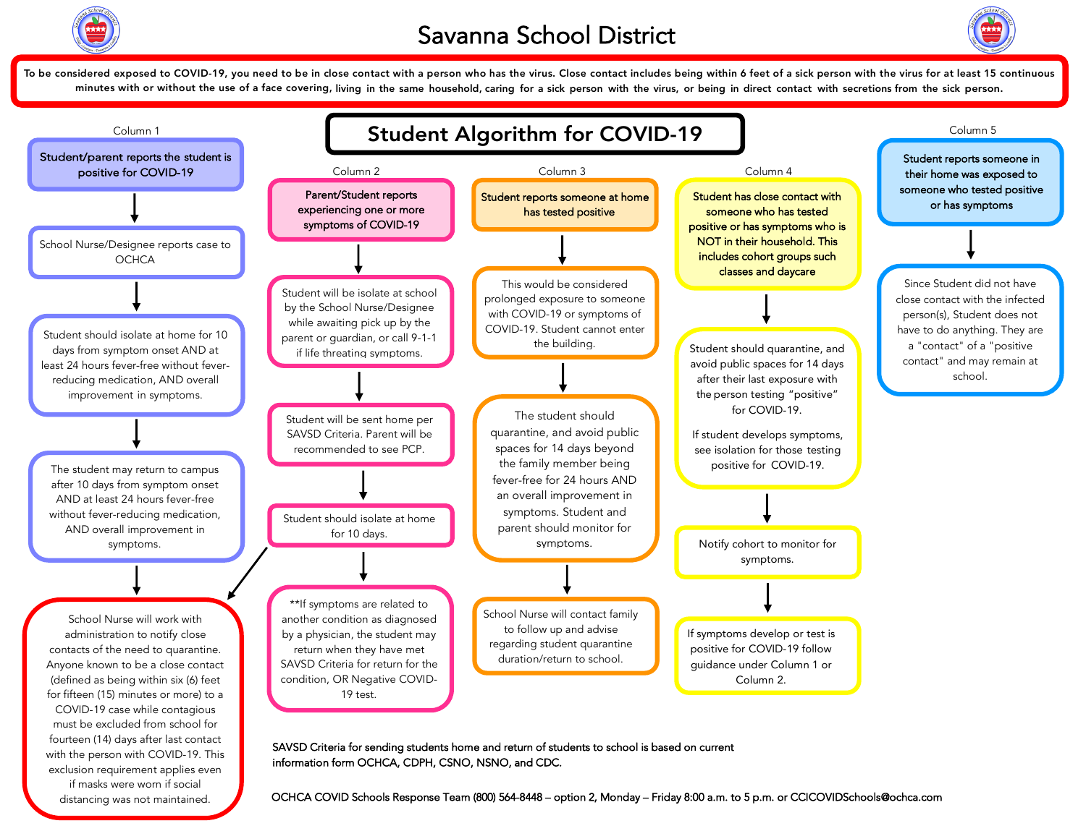



To be considered exposed to COVID-19, you need to be in close contact with a person who has the virus. Close contact includes being within 6 feet of a sick person with the virus for at least 15 continuous minutes with or without the use of a face covering, living in the same household, caring for a sick person with the virus, or being in direct contact with secretions from the sick person.

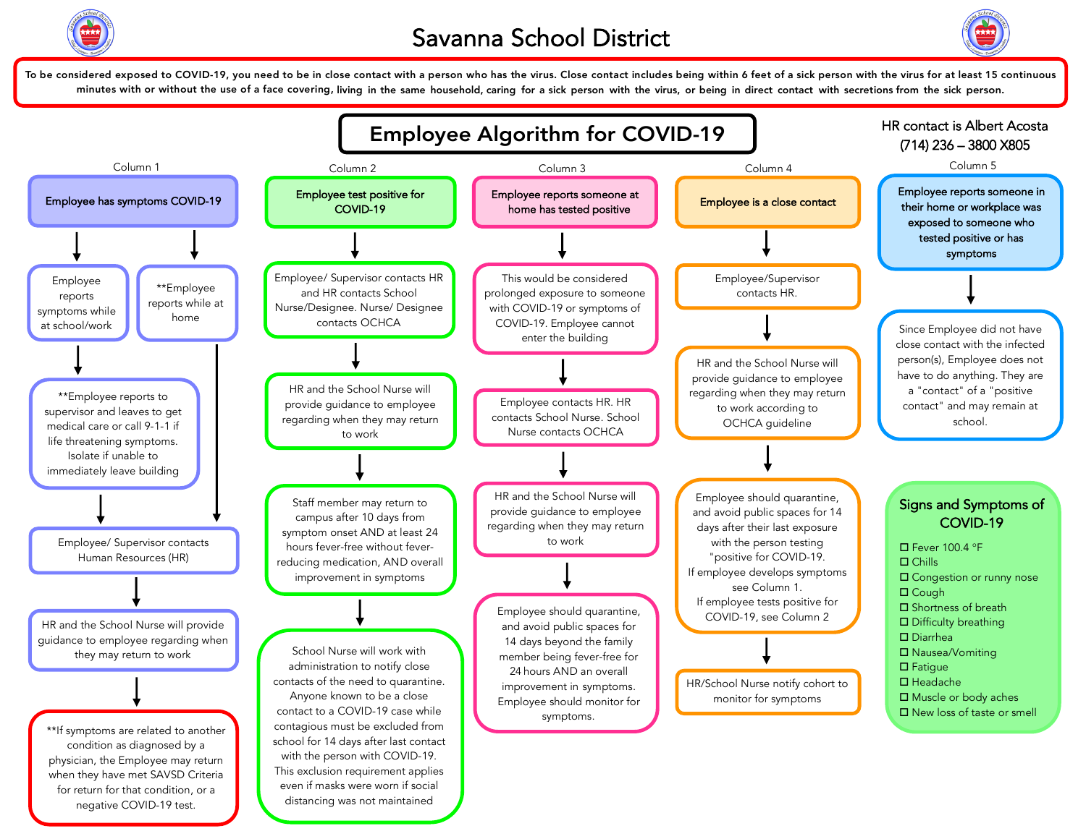



To be considered exposed to COVID-19, you need to be in close contact with a person who has the virus. Close contact includes being within 6 feet of a sick person with the virus for at least 15 continuous minutes with or without the use of a face covering, living in the same household, caring for a sick person with the virus, or being in direct contact with secretions from the sick person.